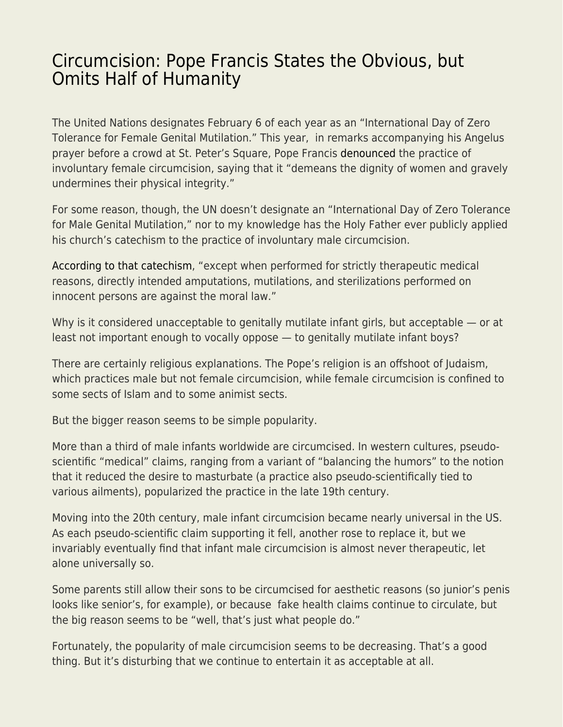## [Circumcision: Pope Francis States the Obvious, but](https://everything-voluntary.com/circumcision-pope-francis-states-the-obvious-but-omits-half-of-humanity) [Omits Half of Humanity](https://everything-voluntary.com/circumcision-pope-francis-states-the-obvious-but-omits-half-of-humanity)

The United Nations designates February 6 of each year as an "International Day of Zero Tolerance for Female Genital Mutilation." This year, in remarks accompanying his Angelus prayer before a crowd at St. Peter's Square, Pope Francis [denounced](https://www.romereports.com/en/2022/02/07/pope-francis-prays-for-women-affected-by-genital-mutilation-human-trafficking/) the practice of involuntary female circumcision, saying that it "demeans the dignity of women and gravely undermines their physical integrity."

For some reason, though, the UN doesn't designate an "International Day of Zero Tolerance for Male Genital Mutilation," nor to my knowledge has the Holy Father ever publicly applied his church's catechism to the practice of involuntary male circumcision.

[According to that catechism,](https://www.catholiccrossreference.online/catechism/#!/search/2297) "except when performed for strictly therapeutic medical reasons, directly intended amputations, mutilations, and sterilizations performed on innocent persons are against the moral law."

Why is it considered unacceptable to genitally mutilate infant girls, but acceptable — or at least not important enough to vocally oppose — to genitally mutilate infant boys?

There are certainly religious explanations. The Pope's religion is an offshoot of Judaism, which practices male but not female circumcision, while female circumcision is confined to some sects of Islam and to some animist sects.

But the bigger reason seems to be simple popularity.

More than a third of male infants worldwide are circumcised. In western cultures, pseudoscientific "medical" claims, ranging from a variant of "balancing the humors" to the notion that it reduced the desire to masturbate (a practice also pseudo-scientifically tied to various ailments), popularized the practice in the late 19th century.

Moving into the 20th century, male infant circumcision became nearly universal in the US. As each pseudo-scientific claim supporting it fell, another rose to replace it, but we invariably eventually find that infant male circumcision is almost never therapeutic, let alone universally so.

Some parents still allow their sons to be circumcised for aesthetic reasons (so junior's penis looks like senior's, for example), or because fake health claims continue to circulate, but the big reason seems to be "well, that's just what people do."

Fortunately, the popularity of male circumcision seems to be decreasing. That's a good thing. But it's disturbing that we continue to entertain it as acceptable at all.